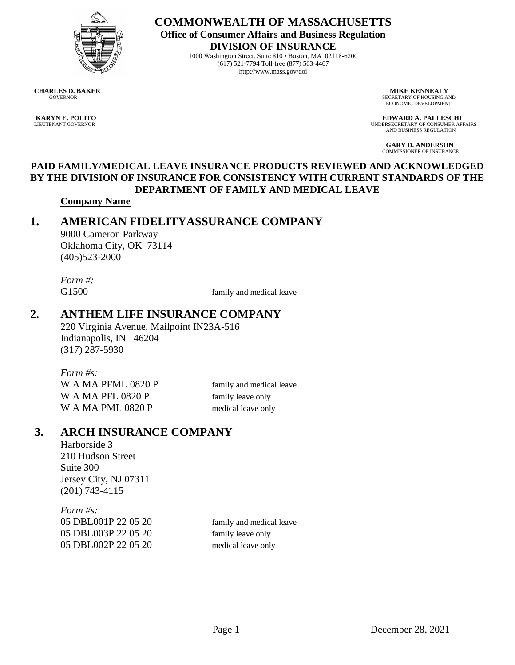

**COMMONWEALTH OF MASSACHUSETTS Office of Consumer Affairs and Business Regulation DIVISION OF INSURANCE**

1000 Washington Street, Suite 810 • Boston, MA 02118-6200 (617) 521-7794 Toll-free (877) 563-4467 http://www.mass.gov/doi

**CHARLES D. BAKER MIKE KENNEALY**<br> **COVERNOR MIKE KENNEALY**<br> **SECRETARY OF HOUSING A** 

SECRETARY OF HOUSING AND ECONOMIC DEVELOPMENT

**KARYN E. POLITO EDWARD A. PALLESCHI**<br>
LIEUTENANT GOVERNOR AFI UNDERSECRETARY OF CONSUMER AFFAIRS AND BUSINESS REGULATION

> **GARY D. ANDERSON** COMMISSIONER OF INSURANCE

#### **PAID FAMILY/MEDICAL LEAVE INSURANCE PRODUCTS REVIEWED AND ACKNOWLEDGED BY THE DIVISION OF INSURANCE FOR CONSISTENCY WITH CURRENT STANDARDS OF THE DEPARTMENT OF FAMILY AND MEDICAL LEAVE**

#### **Company Name**

# **1. AMERICAN FIDELITYASSURANCE COMPANY**

9000 Cameron Parkway Oklahoma City, OK 73114 (405)523-2000

*Form #:*

G1500 family and medical leave

## **2. ANTHEM LIFE INSURANCE COMPANY**

220 Virginia Avenue, Mailpoint IN23A-516 Indianapolis, IN 46204 (317) 287-5930

*Form #s:* W A MA PFML 0820 P family and medical leave W A MA PFL 0820 P family leave only W A MA PML 0820 P medical leave only

# **3. ARCH INSURANCE COMPANY**

Harborside 3 210 Hudson Street Suite 300 Jersey City, NJ 07311 (201) 743-4115

*Form #s:* 05 DBL001P 22 05 20 family and medical leave 05 DBL003P 22 05 20 family leave only 05 DBL002P 22 05 20 medical leave only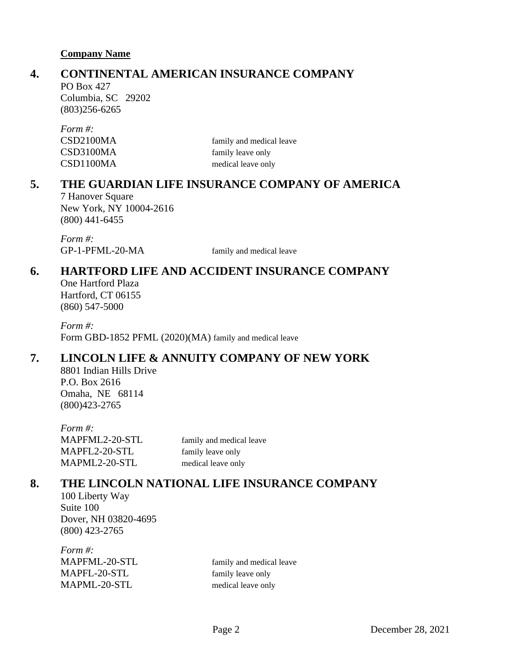## **4. CONTINENTAL AMERICAN INSURANCE COMPANY**

PO Box 427 Columbia, SC 29202 (803)256-6265

| Form #:   |                          |
|-----------|--------------------------|
| CSD2100MA | family and medical leave |
| CSD3100MA | family leave only        |
| CSD1100MA | medical leave only       |

## **5. THE GUARDIAN LIFE INSURANCE COMPANY OF AMERICA**

7 Hanover Square New York, NY 10004-2616 (800) 441-6455

*Form #:* GP-1-PFML-20-MA family and medical leave

# **6. HARTFORD LIFE AND ACCIDENT INSURANCE COMPANY**

One Hartford Plaza Hartford, CT 06155 (860) 547-5000

*Form #:* Form GBD-1852 PFML (2020)(MA) family and medical leave

# **7. LINCOLN LIFE & ANNUITY COMPANY OF NEW YORK**

8801 Indian Hills Drive P.O. Box 2616 Omaha, NE 68114 (800)423-2765

*Form #:* MAPFML2-20-STL family and medical leave MAPFL2-20-STL family leave only MAPML2-20-STL medical leave only

# **8. THE LINCOLN NATIONAL LIFE INSURANCE COMPANY**

100 Liberty Way Suite 100 Dover, NH 03820-4695 (800) 423-2765

*Form #:* MAPFML-20-STL family and medical leave MAPFL-20-STL family leave only MAPML-20-STL medical leave only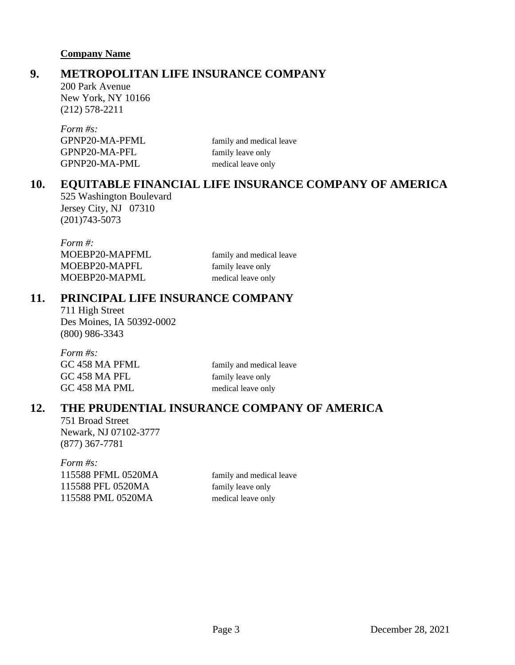# **9. METROPOLITAN LIFE INSURANCE COMPANY**

200 Park Avenue New York, NY 10166 (212) 578-2211

| family and medical leave |
|--------------------------|
| family leave only        |
| medical leave only       |
|                          |

# **10. EQUITABLE FINANCIAL LIFE INSURANCE COMPANY OF AMERICA**

525 Washington Boulevard Jersey City, NJ 07310 (201)743-5073

| Form #:        |                          |
|----------------|--------------------------|
| MOEBP20-MAPFML | family and medical leave |
| MOEBP20-MAPFL  | family leave only        |
| MOEBP20-MAPML  | medical leave only       |

## **11. PRINCIPAL LIFE INSURANCE COMPANY**

711 High Street Des Moines, IA 50392-0002 (800) 986-3343

| Form #s:       |                          |
|----------------|--------------------------|
| GC 458 MA PFML | family and medical leave |
| GC 458 MA PFL  | family leave only        |
| GC 458 MA PML  | medical leave only       |

## **12. THE PRUDENTIAL INSURANCE COMPANY OF AMERICA**

751 Broad Street Newark, NJ 07102-3777 (877) 367-7781

*Form #s:* 115588 PFML 0520MA family and medical leave 115588 PFL 0520MA family leave only 115588 PML 0520MA medical leave only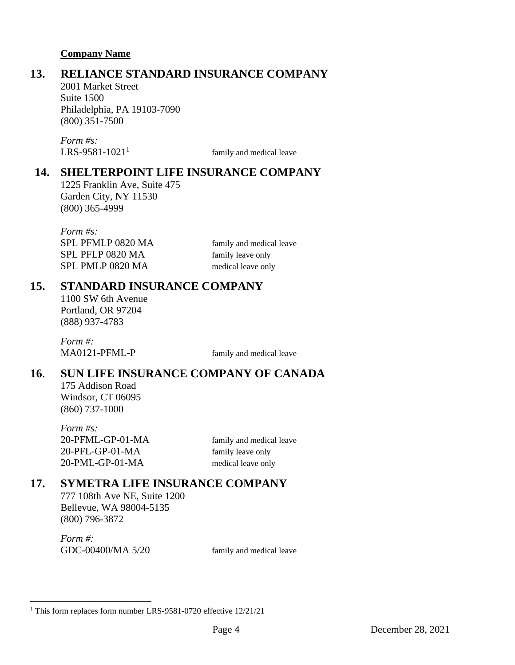# **13. RELIANCE STANDARD INSURANCE COMPANY**

2001 Market Street Suite 1500 Philadelphia, PA 19103-7090 (800) 351-7500

*Form #s:*  $LRS-9581-1021<sup>1</sup>$ 

family and medical leave

## **14. SHELTERPOINT LIFE INSURANCE COMPANY**

1225 Franklin Ave, Suite 475 Garden City, NY 11530 (800) 365-4999

*Form #s:* SPL PFMLP 0820 MA family and medical leave SPL PFLP 0820 MA family leave only SPL PMLP 0820 MA medical leave only

## **15. STANDARD INSURANCE COMPANY**

1100 SW 6th Avenue Portland, OR 97204 (888) 937-4783

*Form #:* MA0121-PFML-P family and medical leave

# **16**. **SUN LIFE INSURANCE COMPANY OF CANADA**

175 Addison Road Windsor, CT 06095 (860) 737-1000

*Form #s:* 20-PFML-GP-01-MA family and medical leave 20-PFL-GP-01-MA family leave only 20-PML-GP-01-MA medical leave only

## **17. SYMETRA LIFE INSURANCE COMPANY**

777 108th Ave NE, Suite 1200 Bellevue, WA 98004-5135 (800) 796-3872

*Form #:* GDC-00400/MA 5/20 family and medical leave

<sup>&</sup>lt;sup>1</sup> This form replaces form number LRS-9581-0720 effective 12/21/21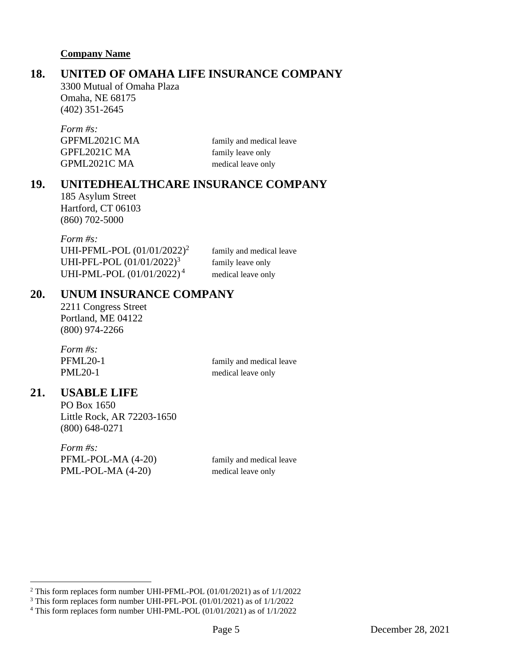## **18. UNITED OF OMAHA LIFE INSURANCE COMPANY**

3300 Mutual of Omaha Plaza Omaha, NE 68175 (402) 351-2645

| family and medical leave |
|--------------------------|
| family leave only        |
| medical leave only       |
|                          |

#### **19. UNITEDHEALTHCARE INSURANCE COMPANY**

185 Asylum Street Hartford, CT 06103 (860) 702-5000

*Form #s:* UHI-PFML-POL (01/01/2022) 2 UHI-PFL-POL (01/01/2022) 3 UHI-PML-POL (01/01/2022)<sup>4</sup>

family and medical leave family leave only medical leave only

## **20. UNUM INSURANCE COMPANY**

2211 Congress Street Portland, ME 04122 (800) 974-2266

*Form #s:* PFML20-1 family and medical leave PML20-1 medical leave only

## **21. USABLE LIFE**

PO Box 1650 Little Rock, AR 72203-1650 (800) 648-0271

*Form #s:* PFML-POL-MA (4-20) family and medical leave PML-POL-MA (4-20) medical leave only

<sup>2</sup> This form replaces form number UHI-PFML-POL (01/01/2021) as of 1/1/2022

<sup>3</sup> This form replaces form number UHI-PFL-POL (01/01/2021) as of 1/1/2022

<sup>4</sup> This form replaces form number UHI-PML-POL (01/01/2021) as of 1/1/2022